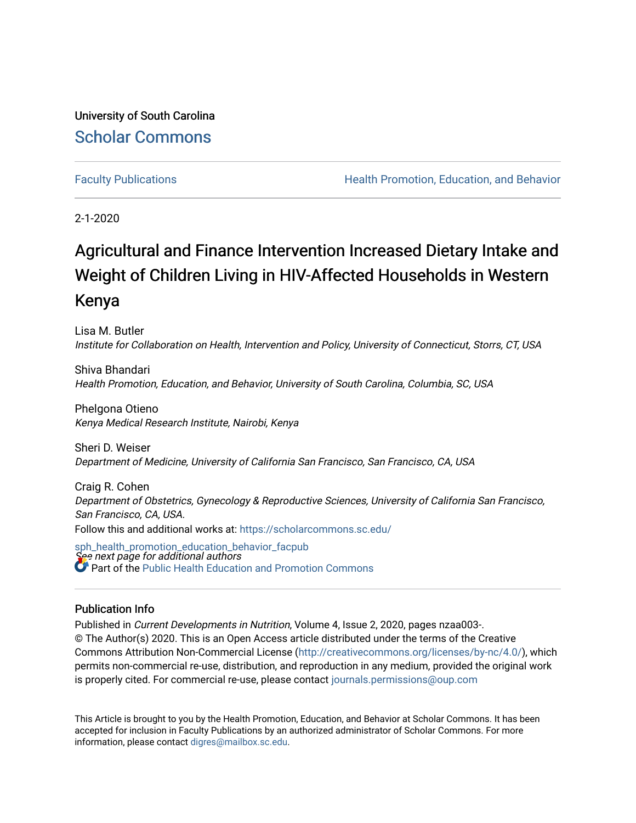University of South Carolina [Scholar Commons](https://scholarcommons.sc.edu/) 

[Faculty Publications](https://scholarcommons.sc.edu/sph_health_promotion_education_behavior_facpub) **Health Promotion, Education, and Behavior Health Promotion, Education, and Behavior** 

2-1-2020

# Agricultural and Finance Intervention Increased Dietary Intake and Weight of Children Living in HIV-Affected Households in Western Kenya

Lisa M. Butler Institute for Collaboration on Health, Intervention and Policy, University of Connecticut, Storrs, CT, USA

Shiva Bhandari Health Promotion, Education, and Behavior, University of South Carolina, Columbia, SC, USA

Phelgona Otieno Kenya Medical Research Institute, Nairobi, Kenya

Sheri D. Weiser Department of Medicine, University of California San Francisco, San Francisco, CA, USA

Craig R. Cohen Department of Obstetrics, Gynecology & Reproductive Sciences, University of California San Francisco, San Francisco, CA, USA. Follow this and additional works at: [https://scholarcommons.sc.edu/](https://scholarcommons.sc.edu/sph_health_promotion_education_behavior_facpub?utm_source=scholarcommons.sc.edu%2Fsph_health_promotion_education_behavior_facpub%2F312&utm_medium=PDF&utm_campaign=PDFCoverPages)

See next page for additional authors [sph\\_health\\_promotion\\_education\\_behavior\\_facpub](https://scholarcommons.sc.edu/sph_health_promotion_education_behavior_facpub?utm_source=scholarcommons.sc.edu%2Fsph_health_promotion_education_behavior_facpub%2F312&utm_medium=PDF&utm_campaign=PDFCoverPages) Part of the Public Health Education and Promotion Commons

### Publication Info

Published in Current Developments in Nutrition, Volume 4, Issue 2, 2020, pages nzaa003-. © The Author(s) 2020. This is an Open Access article distributed under the terms of the Creative Commons Attribution Non-Commercial License ([http://creativecommons.org/licenses/by-nc/4.0/\)](http://creativecommons.org/licenses/by-nc/4.0/), which permits non-commercial re-use, distribution, and reproduction in any medium, provided the original work is properly cited. For commercial re-use, please contact [journals.permissions@oup.com](mailto:journals.permissions@oup.com) 

This Article is brought to you by the Health Promotion, Education, and Behavior at Scholar Commons. It has been accepted for inclusion in Faculty Publications by an authorized administrator of Scholar Commons. For more information, please contact [digres@mailbox.sc.edu.](mailto:digres@mailbox.sc.edu)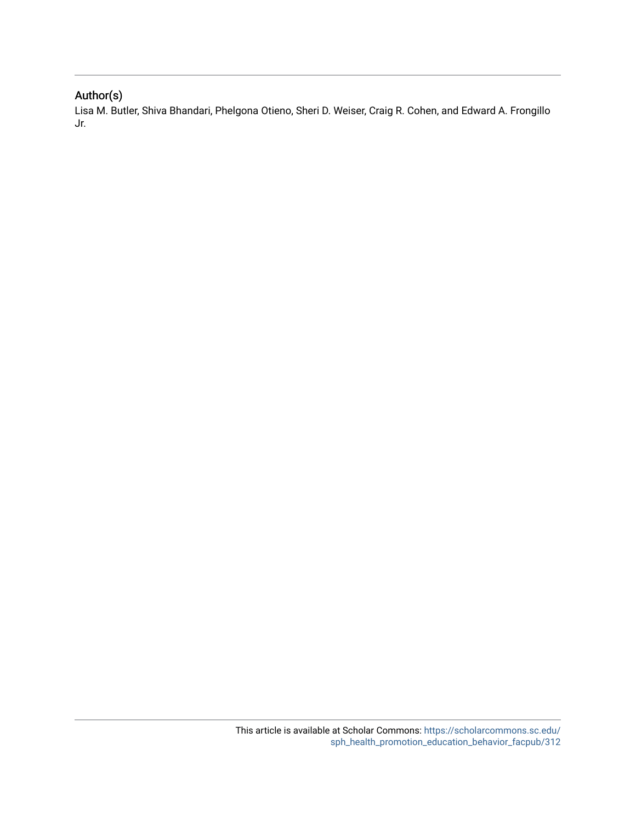## Author(s)

Lisa M. Butler, Shiva Bhandari, Phelgona Otieno, Sheri D. Weiser, Craig R. Cohen, and Edward A. Frongillo Jr.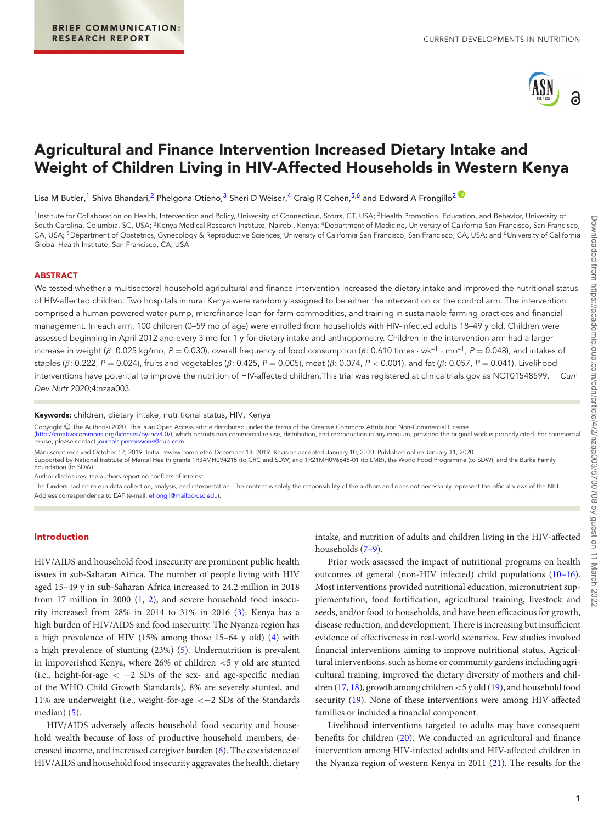<span id="page-2-5"></span><span id="page-2-3"></span><span id="page-2-1"></span>

# **Agricultural and Finance Intervention Increased Dietary Intake and Weight of Children Living in HIV-Affected Households in Western Kenya**

Lisa M Butler,<sup>[1](#page-2-0)</sup> Shiva Bhandari,<sup>2</sup> Phelgona Otieno,<sup>[3](#page-2-2)</sup> Sheri D Weiser,<sup>4</sup> Craig R Cohen,<sup>[5](#page-2-4)[,6](#page-2-5)</sup> and Edward A Frongillo<sup>2</sup>

<span id="page-2-4"></span><span id="page-2-2"></span><span id="page-2-0"></span><sup>1</sup>Institute for Collaboration on Health, Intervention and Policy, University of Connecticut, Storrs, CT, USA; <sup>2</sup>Health Promotion, Education, and Behavior, University of South Carolina, Columbia, SC, USA; <sup>3</sup>Kenya Medical Research Institute, Nairobi, Kenya; <sup>4</sup>Department of Medicine, University of California San Francisco, San Francisco, CA, USA; <sup>5</sup>Department of Obstetrics, Gynecology & Reproductive Sciences, University of California San Francisco, San Francisco, CA, USA; and <sup>6</sup>University of California Global Health Institute, San Francisco, CA, USA

#### **ABSTRACT**

We tested whether a multisectoral household agricultural and finance intervention increased the dietary intake and improved the nutritional status of HIV-affected children. Two hospitals in rural Kenya were randomly assigned to be either the intervention or the control arm. The intervention comprised a human-powered water pump, microfinance loan for farm commodities, and training in sustainable farming practices and financial management. In each arm, 100 children (0–59 mo of age) were enrolled from households with HIV-infected adults 18–49 y old. Children were assessed beginning in April 2012 and every 3 mo for 1 y for dietary intake and anthropometry. Children in the intervention arm had a larger increase in weight (β: 0.025 kg/mo, P = 0.030), overall frequency of food consumption (β: 0.610 times · wk<sup>-1</sup> · mo<sup>-1</sup>, P = 0.048), and intakes of staples (β: 0.222, P = 0.024), fruits and vegetables (β: 0.425, P = 0.005), meat (β: 0.074, P < 0.001), and fat (β: 0.057, P = 0.041). Livelihood interventions have potential to improve the nutrition of HIV-affected children.This trial was registered at clinicaltrials.gov as NCT01548599. Curr Dev Nutr 2020;4:nzaa003.

**Keywords:** children, dietary intake, nutritional status, HIV, Kenya

Copyright © The Author(s) 2020. This is an Open Access article distributed under the terms of the Creative Commons Attribution Non-Commercial License<br>[\(http://creativecommons.org/licenses/by-nc/4.0/\)](http://creativecommons.org/licenses/by-nc/4.0/), which permits non-comm

Manuscript received October 12, 2019. Initial review completed December 18, 2019. Revision accepted January 10, 2020. Published online January 11, 2020.

Supported by National Institute of Mental Health grants 1R34MH094215 (to CRC and SDW) and 1R21MH096645-01 (to LMB), the World Food Programme (to SDW), and the Burke Family Foundation (to SDW).

Author disclosures: the authors report no conflicts of interest.

The funders had no role in data collection, analysis, and interpretation. The content is solely the responsibility of the authors and does not necessarily represent the official views of the NIH. Address correspondence to EAF (e-mail: [efrongil@mailbox.sc.edu\)](mailto:efrongil@mailbox.sc.edu).

#### **Introduction**

HIV/AIDS and household food insecurity are prominent public health issues in sub-Saharan Africa. The number of people living with HIV aged 15–49 y in sub-Saharan Africa increased to 24.2 million in 2018 from 17 million in 2000 [\(1,](#page-5-0) [2\)](#page-5-1), and severe household food insecurity increased from 28% in 2014 to 31% in 2016 [\(3\)](#page-5-2). Kenya has a high burden of HIV/AIDS and food insecurity. The Nyanza region has a high prevalence of HIV (15% among those 15–64 y old) [\(4\)](#page-5-3) with a high prevalence of stunting (23%) [\(5\)](#page-5-4). Undernutrition is prevalent in impoverished Kenya, where 26% of children <5 y old are stunted (i.e., height-for-age  $\langle -2 \text{ SDs of the sex- and age-specific median}$ of the WHO Child Growth Standards), 8% are severely stunted, and 11% are underweight (i.e., weight-for-age <−2 SDs of the Standards median) [\(5\)](#page-5-4).

HIV/AIDS adversely affects household food security and household wealth because of loss of productive household members, decreased income, and increased caregiver burden [\(6\)](#page-5-5). The coexistence of HIV/AIDS and household food insecurity aggravates the health, dietary

intake, and nutrition of adults and children living in the HIV-affected households [\(7–9\)](#page-5-6).

Prior work assessed the impact of nutritional programs on health outcomes of general (non-HIV infected) child populations [\(10–16\)](#page-5-7). Most interventions provided nutritional education, micronutrient supplementation, food fortification, agricultural training, livestock and seeds, and/or food to households, and have been efficacious for growth, disease reduction, and development. There is increasing but insufficient evidence of effectiveness in real-world scenarios. Few studies involved financial interventions aiming to improve nutritional status. Agricultural interventions, such as home or community gardens including agricultural training, improved the dietary diversity of mothers and chil-dren [\(17,](#page-5-8) [18\)](#page-5-9), growth among children  $<$  5 y old [\(19\)](#page-5-10), and household food security [\(19\)](#page-5-10). None of these interventions were among HIV-affected families or included a financial component.

Livelihood interventions targeted to adults may have consequent benefits for children [\(20\)](#page-5-11). We conducted an agricultural and finance intervention among HIV-infected adults and HIV-affected children in the Nyanza region of western Kenya in 2011 [\(21\)](#page-5-12). The results for the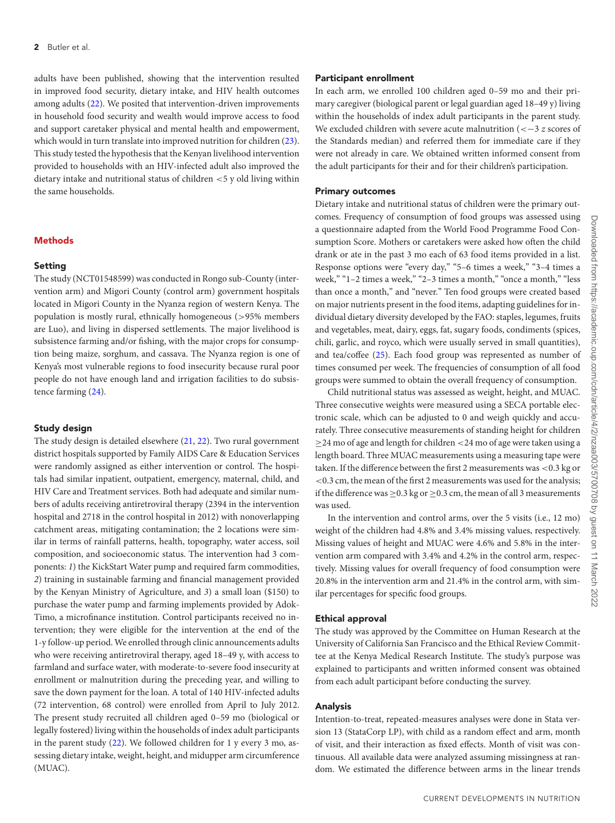adults have been published, showing that the intervention resulted in improved food security, dietary intake, and HIV health outcomes among adults [\(22\)](#page-5-13). We posited that intervention-driven improvements in household food security and wealth would improve access to food and support caretaker physical and mental health and empowerment, which would in turn translate into improved nutrition for children [\(23\)](#page-5-14). This study tested the hypothesis that the Kenyan livelihood intervention provided to households with an HIV-infected adult also improved the dietary intake and nutritional status of children <5 y old living within the same households.

#### **Methods**

#### **Setting**

The study (NCT01548599) was conducted in Rongo sub-County (intervention arm) and Migori County (control arm) government hospitals located in Migori County in the Nyanza region of western Kenya. The population is mostly rural, ethnically homogeneous (>95% members are Luo), and living in dispersed settlements. The major livelihood is subsistence farming and/or fishing, with the major crops for consumption being maize, sorghum, and cassava. The Nyanza region is one of Kenya's most vulnerable regions to food insecurity because rural poor people do not have enough land and irrigation facilities to do subsistence farming [\(24\)](#page-5-15).

#### **Study design**

The study design is detailed elsewhere [\(21,](#page-5-12) [22\)](#page-5-13). Two rural government district hospitals supported by Family AIDS Care & Education Services were randomly assigned as either intervention or control. The hospitals had similar inpatient, outpatient, emergency, maternal, child, and HIV Care and Treatment services. Both had adequate and similar numbers of adults receiving antiretroviral therapy (2394 in the intervention hospital and 2718 in the control hospital in 2012) with nonoverlapping catchment areas, mitigating contamination; the 2 locations were similar in terms of rainfall patterns, health, topography, water access, soil composition, and socioeconomic status. The intervention had 3 components: *1*) the KickStart Water pump and required farm commodities, *2*) training in sustainable farming and financial management provided by the Kenyan Ministry of Agriculture, and *3*) a small loan (\$150) to purchase the water pump and farming implements provided by Adok-Timo, a microfinance institution. Control participants received no intervention; they were eligible for the intervention at the end of the 1-y follow-up period. We enrolled through clinic announcements adults who were receiving antiretroviral therapy, aged 18–49 y, with access to farmland and surface water, with moderate-to-severe food insecurity at enrollment or malnutrition during the preceding year, and willing to save the down payment for the loan. A total of 140 HIV-infected adults (72 intervention, 68 control) were enrolled from April to July 2012. The present study recruited all children aged 0–59 mo (biological or legally fostered) living within the households of index adult participants in the parent study [\(22\)](#page-5-13). We followed children for 1 y every 3 mo, assessing dietary intake, weight, height, and midupper arm circumference (MUAC).

#### **Participant enrollment**

In each arm, we enrolled 100 children aged 0–59 mo and their primary caregiver (biological parent or legal guardian aged 18–49 y) living within the households of index adult participants in the parent study. We excluded children with severe acute malnutrition (<−3 *z* scores of the Standards median) and referred them for immediate care if they were not already in care. We obtained written informed consent from the adult participants for their and for their children's participation.

#### **Primary outcomes**

Dietary intake and nutritional status of children were the primary outcomes. Frequency of consumption of food groups was assessed using a questionnaire adapted from the World Food Programme Food Consumption Score. Mothers or caretakers were asked how often the child drank or ate in the past 3 mo each of 63 food items provided in a list. Response options were "every day," "5–6 times a week," "3–4 times a week," "1-2 times a week," "2-3 times a month," "once a month," "less than once a month," and "never." Ten food groups were created based on major nutrients present in the food items, adapting guidelines for individual dietary diversity developed by the FAO: staples, legumes, fruits and vegetables, meat, dairy, eggs, fat, sugary foods, condiments (spices, chili, garlic, and royco, which were usually served in small quantities), and tea/coffee [\(25\)](#page-5-16). Each food group was represented as number of times consumed per week. The frequencies of consumption of all food groups were summed to obtain the overall frequency of consumption.

Child nutritional status was assessed as weight, height, and MUAC. Three consecutive weights were measured using a SECA portable electronic scale, which can be adjusted to 0 and weigh quickly and accurately. Three consecutive measurements of standing height for children  $\geq$ 24 mo of age and length for children <24 mo of age were taken using a length board. Three MUAC measurements using a measuring tape were taken. If the difference between the first 2 measurements was <0.3 kg or <0.3 cm, the mean of the first 2 measurements was used for the analysis; if the difference was  $\geq$  0.3 kg or  $\geq$  0.3 cm, the mean of all 3 measurements was used.

In the intervention and control arms, over the 5 visits (i.e., 12 mo) weight of the children had 4.8% and 3.4% missing values, respectively. Missing values of height and MUAC were 4.6% and 5.8% in the intervention arm compared with 3.4% and 4.2% in the control arm, respectively. Missing values for overall frequency of food consumption were 20.8% in the intervention arm and 21.4% in the control arm, with similar percentages for specific food groups.

#### **Ethical approval**

The study was approved by the Committee on Human Research at the University of California San Francisco and the Ethical Review Committee at the Kenya Medical Research Institute. The study's purpose was explained to participants and written informed consent was obtained from each adult participant before conducting the survey.

#### **Analysis**

Intention-to-treat, repeated-measures analyses were done in Stata version 13 (StataCorp LP), with child as a random effect and arm, month of visit, and their interaction as fixed effects. Month of visit was continuous. All available data were analyzed assuming missingness at random. We estimated the difference between arms in the linear trends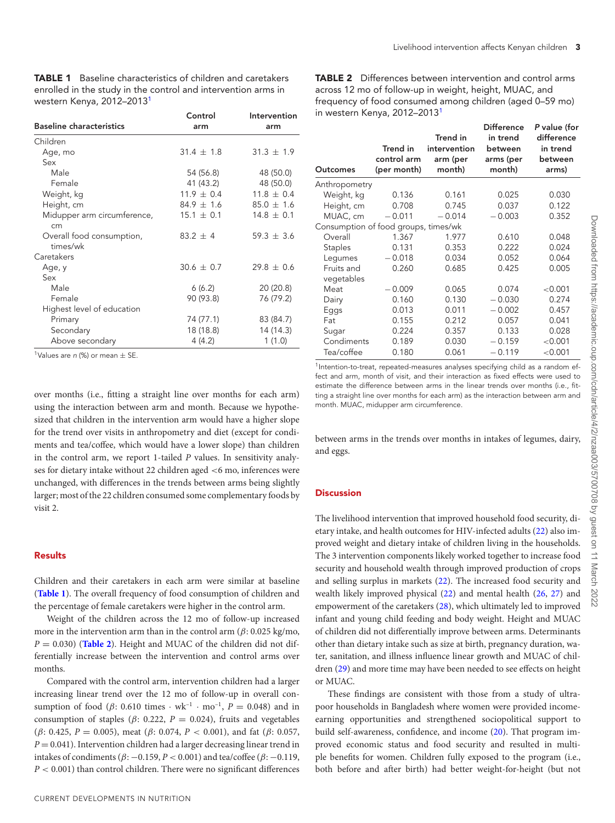<span id="page-4-0"></span>**TABLE 1** Baseline characteristics of children and caretakers enrolled in the study in the control and intervention arms in western Kenya, 2012–2013<sup>1</sup>

|                                       | Control        | Intervention   |
|---------------------------------------|----------------|----------------|
| <b>Baseline characteristics</b>       | arm            | arm            |
| Children                              |                |                |
| Age, mo                               | $31.4 \pm 1.8$ | $31.3 \pm 1.9$ |
| Sex                                   |                |                |
| Male                                  | 54 (56.8)      | 48 (50.0)      |
| Female                                | 41 (43.2)      | 48 (50.0)      |
| Weight, kg                            | $11.9 \pm 0.4$ | $11.8 \pm 0.4$ |
| Height, cm                            | $84.9 \pm 1.6$ | $85.0 \pm 1.6$ |
| Midupper arm circumference,<br>cm     | $15.1 \pm 0.1$ | $14.8 \pm 0.1$ |
| Overall food consumption,<br>times/wk | $83.2 \pm 4$   | $59.3 \pm 3.6$ |
| Caretakers                            |                |                |
| Age, y                                | $30.6 \pm 0.7$ | $29.8 + 0.6$   |
| Sex                                   |                |                |
| Male                                  | 6(6.2)         | 20 (20.8)      |
| Female                                | 90 (93.8)      | 76 (79.2)      |
| Highest level of education            |                |                |
| Primary                               | 74 (77.1)      | 83 (84.7)      |
| Secondary                             | 18 (18.8)      | 14 (14.3)      |
| Above secondary                       | 4 (4.2)        | 1(1.0)         |

<sup>1</sup>Values are n (%) or mean  $\pm$  SE.

over months (i.e., fitting a straight line over months for each arm) using the interaction between arm and month. Because we hypothesized that children in the intervention arm would have a higher slope for the trend over visits in anthropometry and diet (except for condiments and tea/coffee, which would have a lower slope) than children in the control arm, we report 1-tailed *P* values. In sensitivity analyses for dietary intake without 22 children aged <6 mo, inferences were unchanged, with differences in the trends between arms being slightly larger; most of the 22 children consumed some complementary foods by visit 2.

#### **Results**

Children and their caretakers in each arm were similar at baseline (**[Table 1](#page-4-0)**). The overall frequency of food consumption of children and the percentage of female caretakers were higher in the control arm.

Weight of the children across the 12 mo of follow-up increased more in the intervention arm than in the control arm  $(\beta: 0.025 \text{ kg/mol})$  $P = 0.030$  (**[Table 2](#page-4-1)**). Height and MUAC of the children did not differentially increase between the intervention and control arms over months.

Compared with the control arm, intervention children had a larger increasing linear trend over the 12 mo of follow-up in overall consumption of food ( $\beta$ : 0.610 times  $\cdot$  wk<sup>-1</sup>  $\cdot$  mo<sup>-1</sup>,  $P = 0.048$ ) and in consumption of staples ( $\beta$ : 0.222,  $P = 0.024$ ), fruits and vegetables (β: 0.425, *P* = 0.005), meat (β: 0.074, *P* < 0.001), and fat (β: 0.057,  $P = 0.041$ ). Intervention children had a larger decreasing linear trend in intakes of condiments ( $β$ : −0.159,  $P$  < 0.001) and tea/coffee ( $β$ : −0.119, *P* < 0.001) than control children. There were no significant differences

<span id="page-4-1"></span>**TABLE 2** Differences between intervention and control arms across 12 mo of follow-up in weight, height, MUAC, and frequency of food consumed among children (aged 0–59 mo) in western Kenya, 2012–2013<sup>1</sup>

| <b>Outcomes</b>                      | Trend in<br>control arm<br>(per month) | Trend in<br>intervention<br>arm (per<br>month) | <b>Difference</b><br>in trend<br>between<br>arms (per<br>month) | P value (for<br>difference<br>in trend<br>between<br>arms) |
|--------------------------------------|----------------------------------------|------------------------------------------------|-----------------------------------------------------------------|------------------------------------------------------------|
| Anthropometry                        |                                        |                                                |                                                                 |                                                            |
| Weight, kg                           | 0.136                                  | 0.161                                          | 0.025                                                           | 0.030                                                      |
| Height, cm                           | 0.708                                  | 0.745                                          | 0.037                                                           | 0.122                                                      |
| MUAC, cm                             | $-0.011$                               | $-0.014$                                       | $-0.003$                                                        | 0.352                                                      |
| Consumption of food groups, times/wk |                                        |                                                |                                                                 |                                                            |
| Overall                              | 1.367                                  | 1.977                                          | 0.610                                                           | 0.048                                                      |
| <b>Staples</b>                       | 0.131                                  | 0.353                                          | 0.222                                                           | 0.024                                                      |
| Legumes                              | $-0.018$                               | 0.034                                          | 0.052                                                           | 0.064                                                      |
| Fruits and<br>vegetables             | 0.260                                  | 0.685                                          | 0.425                                                           | 0.005                                                      |
| Meat                                 | $-0.009$                               | 0.065                                          | 0.074                                                           | < 0.001                                                    |
| Dairy                                | 0.160                                  | 0.130                                          | $-0.030$                                                        | 0.274                                                      |
| Eggs                                 | 0.013                                  | 0.011                                          | $-0.002$                                                        | 0.457                                                      |
| Fat                                  | 0.155                                  | 0.212                                          | 0.057                                                           | 0.041                                                      |
| Sugar                                | 0.224                                  | 0.357                                          | 0.133                                                           | 0.028                                                      |
| Condiments                           | 0.189                                  | 0.030                                          | $-0.159$                                                        | < 0.001                                                    |
| Tea/coffee                           | 0.180                                  | 0.061                                          | $-0.119$                                                        | < 0.001                                                    |

<sup>1</sup>Intention-to-treat, repeated-measures analyses specifying child as a random effect and arm, month of visit, and their interaction as fixed effects were used to estimate the difference between arms in the linear trends over months (i.e., fitting a straight line over months for each arm) as the interaction between arm and month. MUAC, midupper arm circumference.

between arms in the trends over months in intakes of legumes, dairy, and eggs.

#### **Discussion**

The livelihood intervention that improved household food security, dietary intake, and health outcomes for HIV-infected adults [\(22\)](#page-5-13) also improved weight and dietary intake of children living in the households. The 3 intervention components likely worked together to increase food security and household wealth through improved production of crops and selling surplus in markets [\(22\)](#page-5-13). The increased food security and wealth likely improved physical [\(22\)](#page-5-13) and mental health [\(26,](#page-6-0) [27\)](#page-6-1) and empowerment of the caretakers [\(28\)](#page-6-2), which ultimately led to improved infant and young child feeding and body weight. Height and MUAC of children did not differentially improve between arms. Determinants other than dietary intake such as size at birth, pregnancy duration, water, sanitation, and illness influence linear growth and MUAC of children [\(29\)](#page-6-3) and more time may have been needed to see effects on height or MUAC.

These findings are consistent with those from a study of ultrapoor households in Bangladesh where women were provided incomeearning opportunities and strengthened sociopolitical support to build self-awareness, confidence, and income [\(20\)](#page-5-11). That program improved economic status and food security and resulted in multiple benefits for women. Children fully exposed to the program (i.e., both before and after birth) had better weight-for-height (but not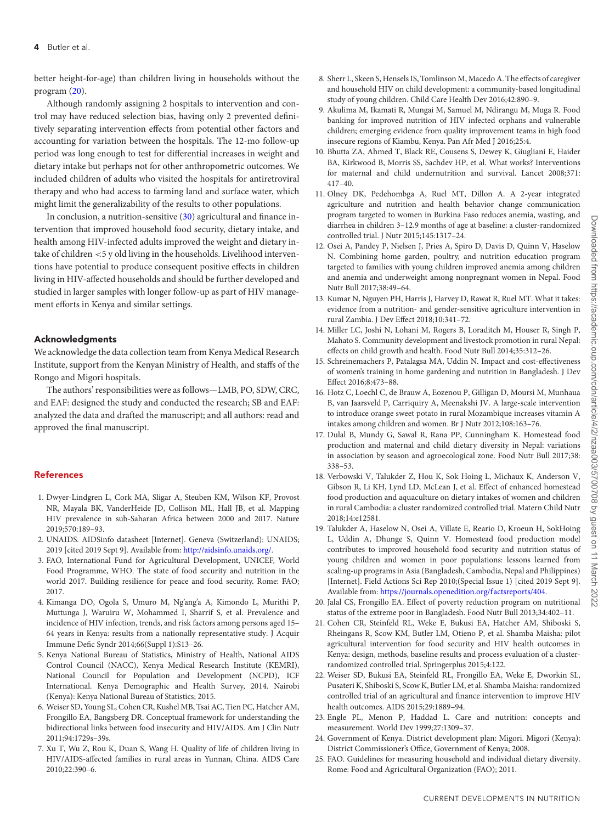better height-for-age) than children living in households without the program [\(20\)](#page-5-11).

Although randomly assigning 2 hospitals to intervention and control may have reduced selection bias, having only 2 prevented definitively separating intervention effects from potential other factors and accounting for variation between the hospitals. The 12-mo follow-up period was long enough to test for differential increases in weight and dietary intake but perhaps not for other anthropometric outcomes. We included children of adults who visited the hospitals for antiretroviral therapy and who had access to farming land and surface water, which might limit the generalizability of the results to other populations.

In conclusion, a nutrition-sensitive [\(30\)](#page-6-4) agricultural and finance intervention that improved household food security, dietary intake, and health among HIV-infected adults improved the weight and dietary intake of children <5 y old living in the households. Livelihood interventions have potential to produce consequent positive effects in children living in HIV-affected households and should be further developed and studied in larger samples with longer follow-up as part of HIV management efforts in Kenya and similar settings.

#### **Acknowledgments**

We acknowledge the data collection team from Kenya Medical Research Institute, support from the Kenyan Ministry of Health, and staffs of the Rongo and Migori hospitals.

The authors' responsibilities were as follows—LMB, PO, SDW, CRC, and EAF: designed the study and conducted the research; SB and EAF: analyzed the data and drafted the manuscript; and all authors: read and approved the final manuscript.

#### **References**

- <span id="page-5-0"></span>1. Dwyer-Lindgren L, Cork MA, Sligar A, Steuben KM, Wilson KF, Provost NR, Mayala BK, VanderHeide JD, Collison ML, Hall JB, et al. Mapping HIV prevalence in sub-Saharan Africa between 2000 and 2017. Nature 2019;570:189–93.
- <span id="page-5-1"></span>2. UNAIDS. AIDSinfo datasheet [Internet]. Geneva (Switzerland): UNAIDS; 2019 [cited 2019 Sept 9]. Available from: [http://aidsinfo.unaids.org/.](http://aidsinfo.unaids.org/)
- <span id="page-5-2"></span>3. FAO, International Fund for Agricultural Development, UNICEF, World Food Programme, WHO. The state of food security and nutrition in the world 2017. Building resilience for peace and food security. Rome: FAO; 2017.
- <span id="page-5-3"></span>4. Kimanga DO, Ogola S, Umuro M, Ng'ang'a A, Kimondo L, Murithi P, Muttunga J, Waruiru W, Mohammed I, Sharrif S, et al. Prevalence and incidence of HIV infection, trends, and risk factors among persons aged 15– 64 years in Kenya: results from a nationally representative study. J Acquir Immune Defic Syndr 2014;66(Suppl 1):S13–26.
- <span id="page-5-4"></span>5. Kenya National Bureau of Statistics, Ministry of Health, National AIDS Control Council (NACC), Kenya Medical Research Institute (KEMRI), National Council for Population and Development (NCPD), ICF International. Kenya Demographic and Health Survey, 2014. Nairobi (Kenya): Kenya National Bureau of Statistics; 2015.
- <span id="page-5-5"></span>6. Weiser SD, Young SL, Cohen CR, Kushel MB, Tsai AC, Tien PC, Hatcher AM, Frongillo EA, Bangsberg DR. Conceptual framework for understanding the bidirectional links between food insecurity and HIV/AIDS. Am J Clin Nutr 2011;94:1729s–39s.
- <span id="page-5-6"></span>7. Xu T, Wu Z, Rou K, Duan S, Wang H. Quality of life of children living in HIV/AIDS-affected families in rural areas in Yunnan, China. AIDS Care 2010;22:390–6.
- 8. Sherr L, Skeen S, Hensels IS, Tomlinson M, Macedo A. The effects of caregiver and household HIV on child development: a community-based longitudinal study of young children. Child Care Health Dev 2016;42:890–9.
- 9. Akulima M, Ikamati R, Mungai M, Samuel M, Ndirangu M, Muga R. Food banking for improved nutrition of HIV infected orphans and vulnerable children; emerging evidence from quality improvement teams in high food insecure regions of Kiambu, Kenya. Pan Afr Med J 2016;25:4.
- <span id="page-5-7"></span>10. Bhutta ZA, Ahmed T, Black RE, Cousens S, Dewey K, Giugliani E, Haider BA, Kirkwood B, Morris SS, Sachdev HP, et al. What works? Interventions for maternal and child undernutrition and survival. Lancet 2008;371: 417–40.
- 11. Olney DK, Pedehombga A, Ruel MT, Dillon A. A 2-year integrated agriculture and nutrition and health behavior change communication program targeted to women in Burkina Faso reduces anemia, wasting, and diarrhea in children 3–12.9 months of age at baseline: a cluster-randomized controlled trial. J Nutr 2015;145:1317–24.
- 12. Osei A, Pandey P, Nielsen J, Pries A, Spiro D, Davis D, Quinn V, Haselow N. Combining home garden, poultry, and nutrition education program targeted to families with young children improved anemia among children and anemia and underweight among nonpregnant women in Nepal. Food Nutr Bull 2017;38:49–64.
- 13. Kumar N, Nguyen PH, Harris J, Harvey D, Rawat R, Ruel MT. What it takes: evidence from a nutrition- and gender-sensitive agriculture intervention in rural Zambia. J Dev Effect 2018;10:341–72.
- 14. Miller LC, Joshi N, Lohani M, Rogers B, Loraditch M, Houser R, Singh P, Mahato S. Community development and livestock promotion in rural Nepal: effects on child growth and health. Food Nutr Bull 2014;35:312–26.
- 15. Schreinemachers P, Patalagsa MA, Uddin N. Impact and cost-effectiveness of women's training in home gardening and nutrition in Bangladesh. J Dev Effect 2016;8:473–88.
- 16. Hotz C, Loechl C, de Brauw A, Eozenou P, Gilligan D, Moursi M, Munhaua B, van Jaarsveld P, Carriquiry A, Meenakshi JV. A large-scale intervention to introduce orange sweet potato in rural Mozambique increases vitamin A intakes among children and women. Br J Nutr 2012;108:163–76.
- <span id="page-5-8"></span>17. Dulal B, Mundy G, Sawal R, Rana PP, Cunningham K. Homestead food production and maternal and child dietary diversity in Nepal: variations in association by season and agroecological zone. Food Nutr Bull 2017;38: 338–53.
- <span id="page-5-9"></span>18. Verbowski V, Talukder Z, Hou K, Sok Hoing L, Michaux K, Anderson V, Gibson R, Li KH, Lynd LD, McLean J, et al. Effect of enhanced homestead food production and aquaculture on dietary intakes of women and children in rural Cambodia: a cluster randomized controlled trial. Matern Child Nutr 2018;14:e12581.
- <span id="page-5-10"></span>19. Talukder A, Haselow N, Osei A, Villate E, Reario D, Kroeun H, SokHoing L, Uddin A, Dhunge S, Quinn V. Homestead food production model contributes to improved household food security and nutrition status of young children and women in poor populations: lessons learned from scaling-up programs in Asia (Bangladesh, Cambodia, Nepal and Philippines) [Internet]. Field Actions Sci Rep 2010;(Special Issue 1) [cited 2019 Sept 9]. Available from: [https://journals.openedition.org/factsreports/404.](https://journals.openedition.org/factsreports/404)
- <span id="page-5-11"></span>20. Jalal CS, Frongillo EA. Effect of poverty reduction program on nutritional status of the extreme poor in Bangladesh. Food Nutr Bull 2013;34:402–11.
- <span id="page-5-12"></span>21. Cohen CR, Steinfeld RL, Weke E, Bukusi EA, Hatcher AM, Shiboski S, Rheingans R, Scow KM, Butler LM, Otieno P, et al. Shamba Maisha: pilot agricultural intervention for food security and HIV health outcomes in Kenya: design, methods, baseline results and process evaluation of a clusterrandomized controlled trial. Springerplus 2015;4:122.
- <span id="page-5-13"></span>22. Weiser SD, Bukusi EA, Steinfeld RL, Frongillo EA, Weke E, Dworkin SL, Pusateri K, Shiboski S, Scow K, Butler LM, et al. Shamba Maisha: randomized controlled trial of an agricultural and finance intervention to improve HIV health outcomes. AIDS 2015;29:1889–94.
- <span id="page-5-14"></span>23. Engle PL, Menon P, Haddad L. Care and nutrition: concepts and measurement. World Dev 1999;27:1309–37.
- <span id="page-5-15"></span>24. Government of Kenya. District development plan: Migori. Migori (Kenya): District Commissioner's Office, Government of Kenya; 2008.
- <span id="page-5-16"></span>25. FAO. Guidelines for measuring household and individual dietary diversity. Rome: Food and Agricultural Organization (FAO); 2011.